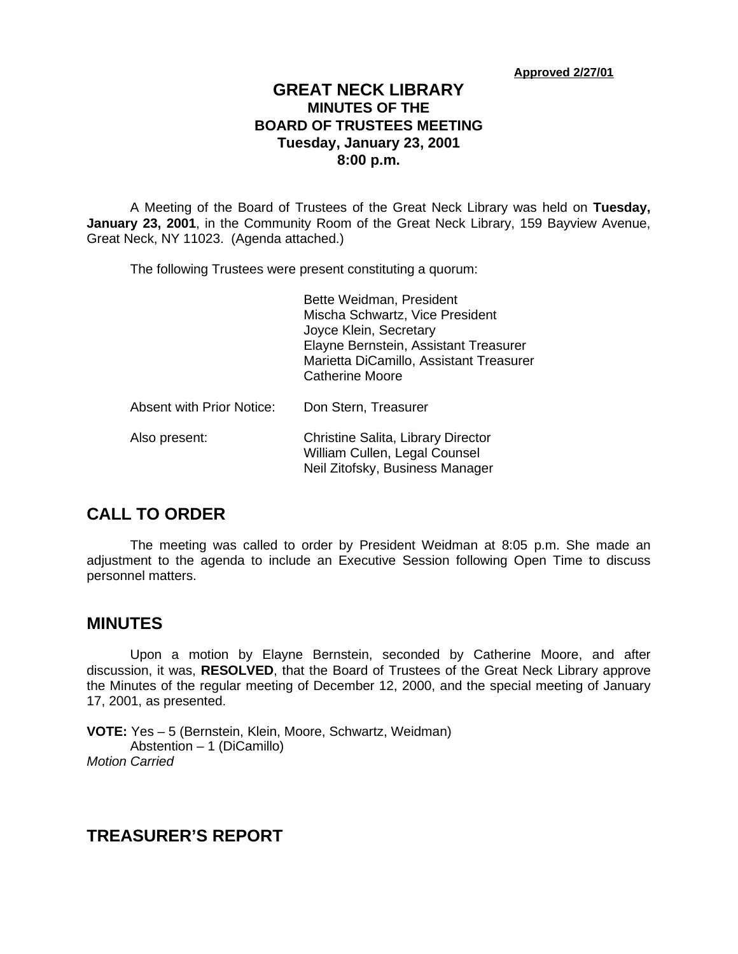**Approved 2/27/01**

### **GREAT NECK LIBRARY MINUTES OF THE BOARD OF TRUSTEES MEETING Tuesday, January 23, 2001 8:00 p.m.**

A Meeting of the Board of Trustees of the Great Neck Library was held on **Tuesday, January 23, 2001**, in the Community Room of the Great Neck Library, 159 Bayview Avenue, Great Neck, NY 11023. (Agenda attached.)

The following Trustees were present constituting a quorum:

|                                  | Bette Weidman, President<br>Mischa Schwartz, Vice President<br>Joyce Klein, Secretary<br>Elayne Bernstein, Assistant Treasurer<br>Marietta DiCamillo, Assistant Treasurer<br><b>Catherine Moore</b> |
|----------------------------------|-----------------------------------------------------------------------------------------------------------------------------------------------------------------------------------------------------|
| <b>Absent with Prior Notice:</b> | Don Stern, Treasurer                                                                                                                                                                                |
| Also present:                    | Christine Salita, Library Director<br>William Cullen, Legal Counsel<br>Neil Zitofsky, Business Manager                                                                                              |

## **CALL TO ORDER**

The meeting was called to order by President Weidman at 8:05 p.m. She made an adjustment to the agenda to include an Executive Session following Open Time to discuss personnel matters.

### **MINUTES**

Upon a motion by Elayne Bernstein, seconded by Catherine Moore, and after discussion, it was, **RESOLVED**, that the Board of Trustees of the Great Neck Library approve the Minutes of the regular meeting of December 12, 2000, and the special meeting of January 17, 2001, as presented.

**VOTE:** Yes – 5 (Bernstein, Klein, Moore, Schwartz, Weidman) Abstention – 1 (DiCamillo) *Motion Carried* 

## **TREASURER'S REPORT**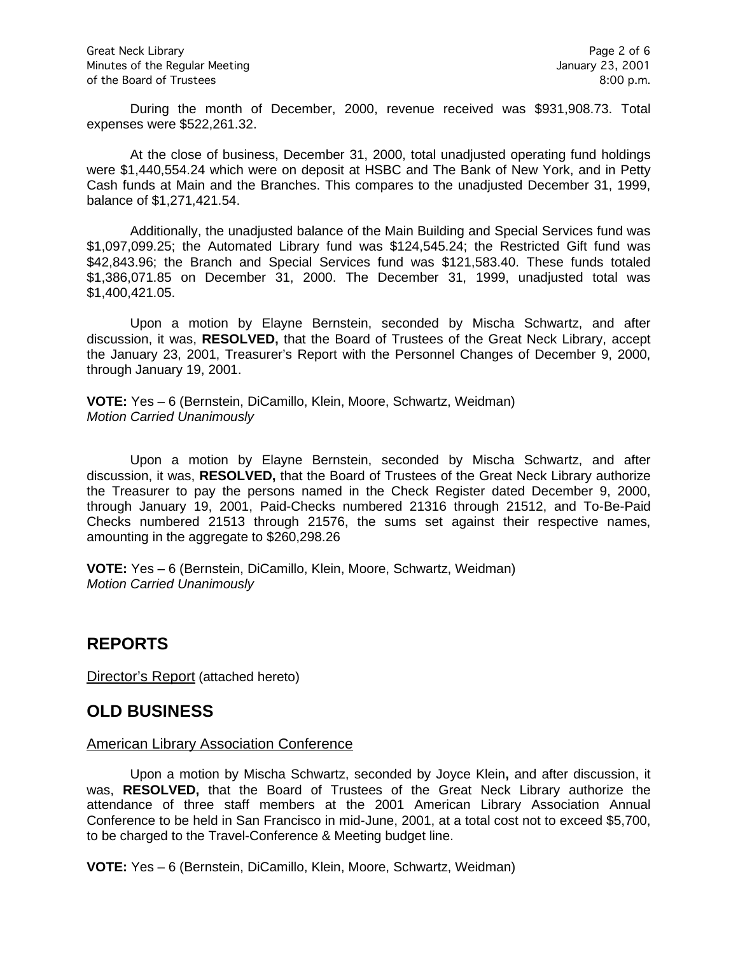During the month of December, 2000, revenue received was \$931,908.73. Total expenses were \$522,261.32.

At the close of business, December 31, 2000, total unadjusted operating fund holdings were \$1,440,554.24 which were on deposit at HSBC and The Bank of New York, and in Petty Cash funds at Main and the Branches. This compares to the unadjusted December 31, 1999, balance of \$1,271,421.54.

Additionally, the unadjusted balance of the Main Building and Special Services fund was \$1,097,099.25; the Automated Library fund was \$124,545.24; the Restricted Gift fund was \$42,843.96; the Branch and Special Services fund was \$121,583.40. These funds totaled \$1,386,071.85 on December 31, 2000. The December 31, 1999, unadjusted total was \$1,400,421.05.

Upon a motion by Elayne Bernstein, seconded by Mischa Schwartz, and after discussion, it was, **RESOLVED,** that the Board of Trustees of the Great Neck Library, accept the January 23, 2001, Treasurer's Report with the Personnel Changes of December 9, 2000, through January 19, 2001.

**VOTE:** Yes – 6 (Bernstein, DiCamillo, Klein, Moore, Schwartz, Weidman) *Motion Carried Unanimously*

Upon a motion by Elayne Bernstein, seconded by Mischa Schwartz, and after discussion, it was, **RESOLVED,** that the Board of Trustees of the Great Neck Library authorize the Treasurer to pay the persons named in the Check Register dated December 9, 2000, through January 19, 2001, Paid-Checks numbered 21316 through 21512, and To-Be-Paid Checks numbered 21513 through 21576, the sums set against their respective names, amounting in the aggregate to \$260,298.26

**VOTE:** Yes – 6 (Bernstein, DiCamillo, Klein, Moore, Schwartz, Weidman) *Motion Carried Unanimously*

## **REPORTS**

Director's Report (attached hereto)

## **OLD BUSINESS**

#### American Library Association Conference

Upon a motion by Mischa Schwartz, seconded by Joyce Klein**,** and after discussion, it was, **RESOLVED,** that the Board of Trustees of the Great Neck Library authorize the attendance of three staff members at the 2001 American Library Association Annual Conference to be held in San Francisco in mid-June, 2001, at a total cost not to exceed \$5,700, to be charged to the Travel-Conference & Meeting budget line.

**VOTE:** Yes – 6 (Bernstein, DiCamillo, Klein, Moore, Schwartz, Weidman)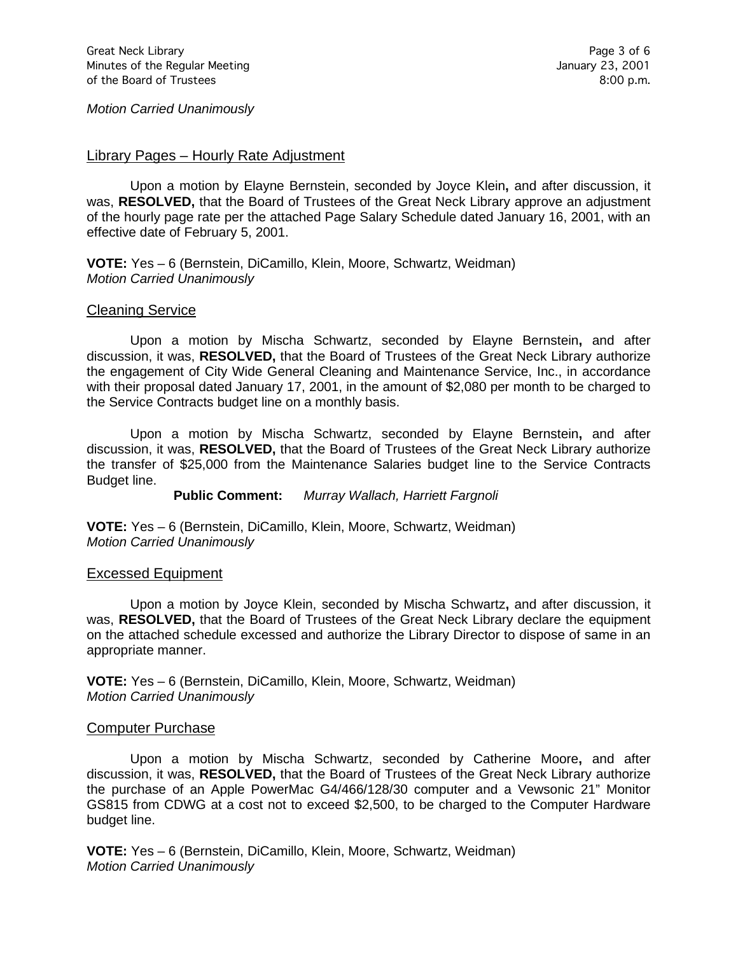*Motion Carried Unanimously*

#### Library Pages – Hourly Rate Adjustment

Upon a motion by Elayne Bernstein, seconded by Joyce Klein**,** and after discussion, it was, **RESOLVED,** that the Board of Trustees of the Great Neck Library approve an adjustment of the hourly page rate per the attached Page Salary Schedule dated January 16, 2001, with an effective date of February 5, 2001.

**VOTE:** Yes – 6 (Bernstein, DiCamillo, Klein, Moore, Schwartz, Weidman) *Motion Carried Unanimously*

#### Cleaning Service

Upon a motion by Mischa Schwartz, seconded by Elayne Bernstein**,** and after discussion, it was, **RESOLVED,** that the Board of Trustees of the Great Neck Library authorize the engagement of City Wide General Cleaning and Maintenance Service, Inc., in accordance with their proposal dated January 17, 2001, in the amount of \$2,080 per month to be charged to the Service Contracts budget line on a monthly basis.

Upon a motion by Mischa Schwartz, seconded by Elayne Bernstein**,** and after discussion, it was, **RESOLVED,** that the Board of Trustees of the Great Neck Library authorize the transfer of \$25,000 from the Maintenance Salaries budget line to the Service Contracts Budget line.

**Public Comment:** *Murray Wallach, Harriett Fargnoli*

**VOTE:** Yes – 6 (Bernstein, DiCamillo, Klein, Moore, Schwartz, Weidman) *Motion Carried Unanimously*

#### Excessed Equipment

Upon a motion by Joyce Klein, seconded by Mischa Schwartz**,** and after discussion, it was, **RESOLVED,** that the Board of Trustees of the Great Neck Library declare the equipment on the attached schedule excessed and authorize the Library Director to dispose of same in an appropriate manner.

**VOTE:** Yes – 6 (Bernstein, DiCamillo, Klein, Moore, Schwartz, Weidman) *Motion Carried Unanimously*

#### Computer Purchase

Upon a motion by Mischa Schwartz, seconded by Catherine Moore**,** and after discussion, it was, **RESOLVED,** that the Board of Trustees of the Great Neck Library authorize the purchase of an Apple PowerMac G4/466/128/30 computer and a Vewsonic 21" Monitor GS815 from CDWG at a cost not to exceed \$2,500, to be charged to the Computer Hardware budget line.

**VOTE:** Yes – 6 (Bernstein, DiCamillo, Klein, Moore, Schwartz, Weidman) *Motion Carried Unanimously*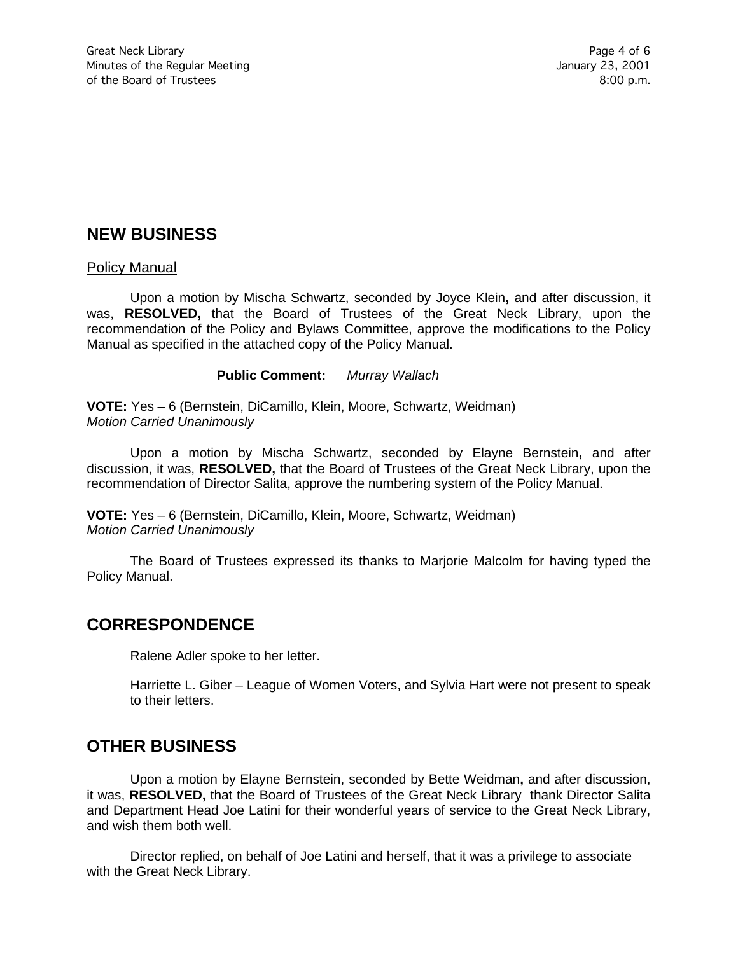# **NEW BUSINESS**

#### Policy Manual

Upon a motion by Mischa Schwartz, seconded by Joyce Klein**,** and after discussion, it was, **RESOLVED,** that the Board of Trustees of the Great Neck Library, upon the recommendation of the Policy and Bylaws Committee, approve the modifications to the Policy Manual as specified in the attached copy of the Policy Manual.

#### **Public Comment:** *Murray Wallach*

**VOTE:** Yes – 6 (Bernstein, DiCamillo, Klein, Moore, Schwartz, Weidman) *Motion Carried Unanimously*

Upon a motion by Mischa Schwartz, seconded by Elayne Bernstein**,** and after discussion, it was, **RESOLVED,** that the Board of Trustees of the Great Neck Library, upon the recommendation of Director Salita, approve the numbering system of the Policy Manual.

**VOTE:** Yes – 6 (Bernstein, DiCamillo, Klein, Moore, Schwartz, Weidman) *Motion Carried Unanimously*

The Board of Trustees expressed its thanks to Marjorie Malcolm for having typed the Policy Manual.

### **CORRESPONDENCE**

Ralene Adler spoke to her letter.

Harriette L. Giber – League of Women Voters, and Sylvia Hart were not present to speak to their letters.

## **OTHER BUSINESS**

Upon a motion by Elayne Bernstein, seconded by Bette Weidman**,** and after discussion, it was, **RESOLVED,** that the Board of Trustees of the Great Neck Library thank Director Salita and Department Head Joe Latini for their wonderful years of service to the Great Neck Library, and wish them both well.

Director replied, on behalf of Joe Latini and herself, that it was a privilege to associate with the Great Neck Library.